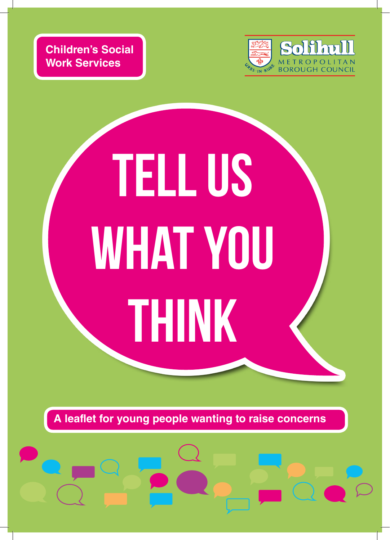**Children's Social Work Services**



# TELL US WHAT YOU THINK

**A leaflet for young people wanting to raise concerns**

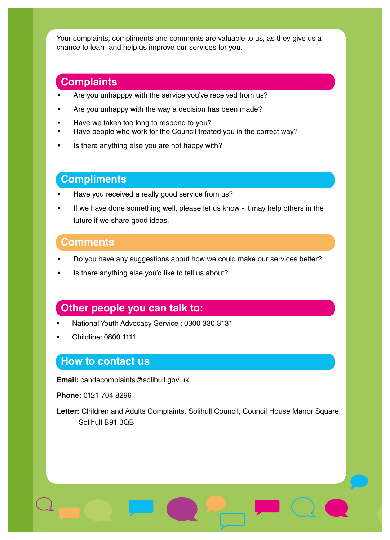Your complaints, compliments and comments are valuable to us, as they give us a chance to learn and help us improve our services for you.

## **Complaints**

- Are you unhapppy with the service you've received from us?
- Are you unhappy with the way a decision has been made?
- Have we taken too long to respond to you?
- Have people who work for the Council treated you in the correct way?
- Is there anything else you are not happy with?

# **Compliments**

- Have you received a really good service from us?
- If we have done something well, please let us know it may help others in the future if we share good ideas.

#### **Comments**

- Do you have any suggestions about how we could make our services better?
- Is there anything else you'd like to tell us about?

### **Other people you can talk to:**

- National Youth Advocacy Service : 0300 330 3131
- Childline: 0800 1111

### **How to contact us**

**Email:** candacomplaints@solihull.gov.uk

**Phone:** 0121 704 8296

**Letter:** Children and Adults Complaints, Solihull Council, Council House Manor Square, Solihull B91 3QB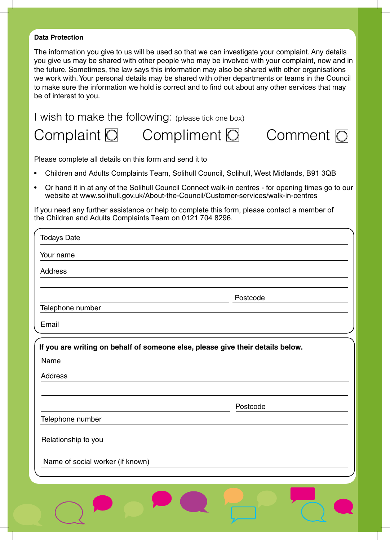#### **Data Protection**

The information you give to us will be used so that we can investigate your complaint. Any details you give us may be shared with other people who may be involved with your complaint, now and in the future. Sometimes, the law says this information may also be shared with other organisations we work with. Your personal details may be shared with other departments or teams in the Council to make sure the information we hold is correct and to find out about any other services that may be of interest to you.

I wish to make the following: (please tick one box)

Complaint  $\overline{O}$  Compliment  $\overline{O}$  Comment  $\overline{O}$ 



Please complete all details on this form and send it to

- Children and Adults Complaints Team, Solihull Council, Solihull, West Midlands, B91 3QB
- Or hand it in at any of the Solihull Council Connect walk-in centres for opening times go to our website at www.solihull.gov.uk/About-the-Council/Customer-services/walk-in-centres

If you need any further assistance or help to complete this form, please contact a member of the Children and Adults Complaints Team on 0121 704 8296.

| <b>Todays Date</b>                                                             |          |
|--------------------------------------------------------------------------------|----------|
| Your name                                                                      |          |
| <b>Address</b>                                                                 |          |
|                                                                                |          |
| Telephone number                                                               | Postcode |
| Email                                                                          |          |
| If you are writing on behalf of someone else, please give their details below. |          |
| Name                                                                           |          |
| <b>Address</b>                                                                 |          |
|                                                                                |          |
|                                                                                | Postcode |
| Telephone number                                                               |          |
| Relationship to you                                                            |          |
| Name of social worker (if known)                                               |          |
|                                                                                |          |
|                                                                                |          |